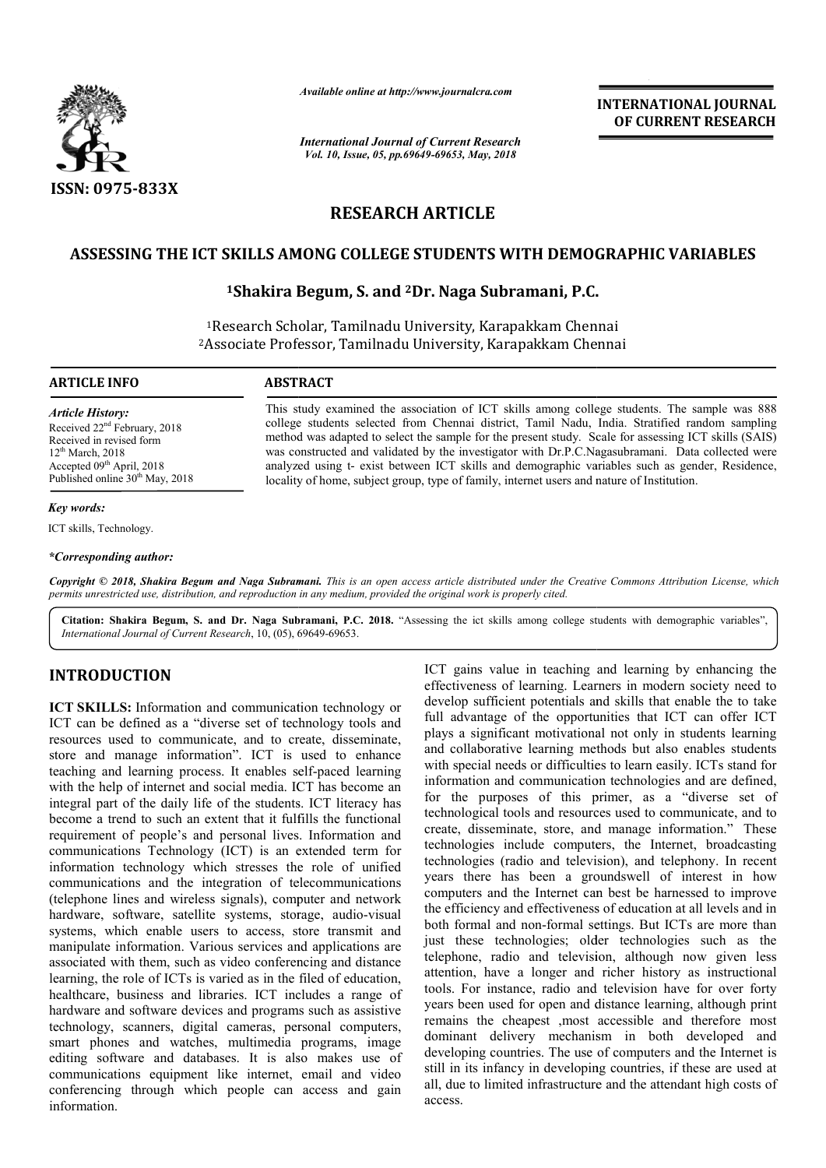

*Available online at http://www.journalcra.com*

*International Journal of Current Research Vol. 10, Issue, 05, pp.69649-69653, May, 2018*

**INTERNATIONAL JOURNAL OF CURRENT RESEARCH**

# **RESEARCH ARTICLE**

## **ASSESSING THE ICT SKILLS AMONG COLLEGE STUDENTS WITH DEMOGRAPHIC ASSESSING THE VARIABLES**

## **1Shakira Begum Shakira Begum, S. and 2Dr. Naga Subramani, P.C.**

<sup>1</sup>Research Scholar, Tamilnadu University, Karapakkam Chennai 2Associate Professor, Associate Tamilnadu University, Karapakkam Chennai

**ARTICLE INFO ABSTRACT**

Received 22<sup>nd</sup> February, 2018 Received in revised form  $12^{th}$  March, 2018  $Accepted 09<sup>th</sup> April, 2018$ Published online 30<sup>th</sup> May, 2018

*Article History:*

This study examined the association of ICT skills among college students students. The sample was 888 college students selected from Chennai district, Tamil Nadu, India. Stratified random sampling method was adapted to select the sample for the present study. Scale for assessing ICT skills (SAIS) was constructed and validated by the investigator with Dr.P.C.Nagasubramani. Data collected were analyzed using t- exist between ICT skills and demographic variables such as gender, Residence, locality of home, subject group, type of family, internet users and nature of Institution. college students selected from Chennai district, Tamil Nadu, India. Stratified random sampling<br>method was adapted to select the sample for the present study. Scale for assessing ICT skills (SAIS)<br>was constructed and valida

## *Key words:*

ICT skills, Technology.

*\*Corresponding author:*

Copyright © 2018, Shakira Begum and Naga Subramani. This is an open access article distributed under the Creative Commons Attribution License, which permits unrestricted use, distribution, and reproduction in any medium, provided the original work is properly cited.

Citation: Shakira Begum, S. and Dr. Naga Subramani, P.C. 2018. "Assessing the ict skills among college students with demographic variables", *International Journal of Current Research*, 10, (05), 69649 69649-69653.

## **INTRODUCTION**

**ICT SKILLS:** Information and communication technology or ICT can be defined as a "diverse set of technology tools and resources used to communicate, and to create, disseminate, store and manage information". ICT is used to enhance teaching and learning process. It enables self-paced learning with the help of internet and social media. ICT has become an integral part of the daily life of the students. ICT literacy has become a trend to such an extent that it fulfills the functional requirement of people's and personal lives. Information and communications Technology (ICT) is an extended term for information technology which stresses the role of unified communications and the integration of telecommunications (telephone lines and wireless signals), computer and network (telephone lines and wireless signals), computer and network<br>hardware, software, satellite systems, storage, audio-visual systems, which enable users to access, store transmit and manipulate information. Various services and applications are associated with them, such as video conferencing and distance learning, the role of ICTs is varied as in the filed of education, healthcare, business and libraries. ICT includes a range of hardware and software devices and programs such as assistive technology, scanners, digital cameras, personal computers, smart phones and watches, multimedia programs, image editing software and databases. It is also makes use of communications equipment like internet, email and video conferencing through which people can access and gain information.

ICT gains value in teaching and learning by enhancing the effectiveness of learning. Learners in modern society need to develop sufficient potentials and skills that enable the to take full advantage of the opportunities that ICT can offer ICT plays a significant motivational not only in students learning and collaborative learning methods but also enables students ICT gains value in teaching and learning by enhancing the effectiveness of learning. Learners in modern society need to develop sufficient potentials and skills that enable the to take full advantage of the opportunities t information and communication technologies and are defined, for the purposes of this primer, as a "diverse set of technological tools and resources used to communicate, and to create, disseminate, store, and manage information." technologies include computers, the Internet, broadcasting technologies (radio and television), and telephony. In recent years there has been a groundswell of interest in how computers and the Internet can best be harnessed to improve the efficiency and effectiveness of education at all levels and in both formal and non-formal settings. But ICTs are more than just these technologies; older technologies such as the telephone, radio and television, although now given less attention, have a longer and richer history as instructional tools. For instance, radio and television have for over forty years been used for open and distance learning, although print remains the cheapest ,most accessible and therefore most tools. For instance, radio and television have for over forty years been used for open and distance learning, although print remains the cheapest , most accessible and therefore most dominant delivery mechanism in both dev developing countries. The use of computers and the Internet is still in its infancy in developing countries, if these are used at all, due to limited infrastructure and the attendant high costs of access. tion and communication technologies and are defined,<br>purposes of this primer, as a "diverse set of<br>ogical tools and resources used to communicate, and to<br>disseminate, store, and manage information." These is include computers, the Internet, broadcasting<br>the Internet can be internet in how<br>and the Internet can best be harnessed to improve<br>cy and effectiveness of education at all levels and in<br>1 and non-formal settings. But I **INTERNATIONAL JOURNAL CONTROLL IS CONTROLL INTO THE CONDUCT CONTROLL INTO A CONTROLL INTO A CONTROLL INTO A CONTROLL INTO A CONTROLL INTO A CONTROLL INTO A CONTROLL INTO A CONTROLL INTO A CONTROLL INTO A CONTROLL INTO A C**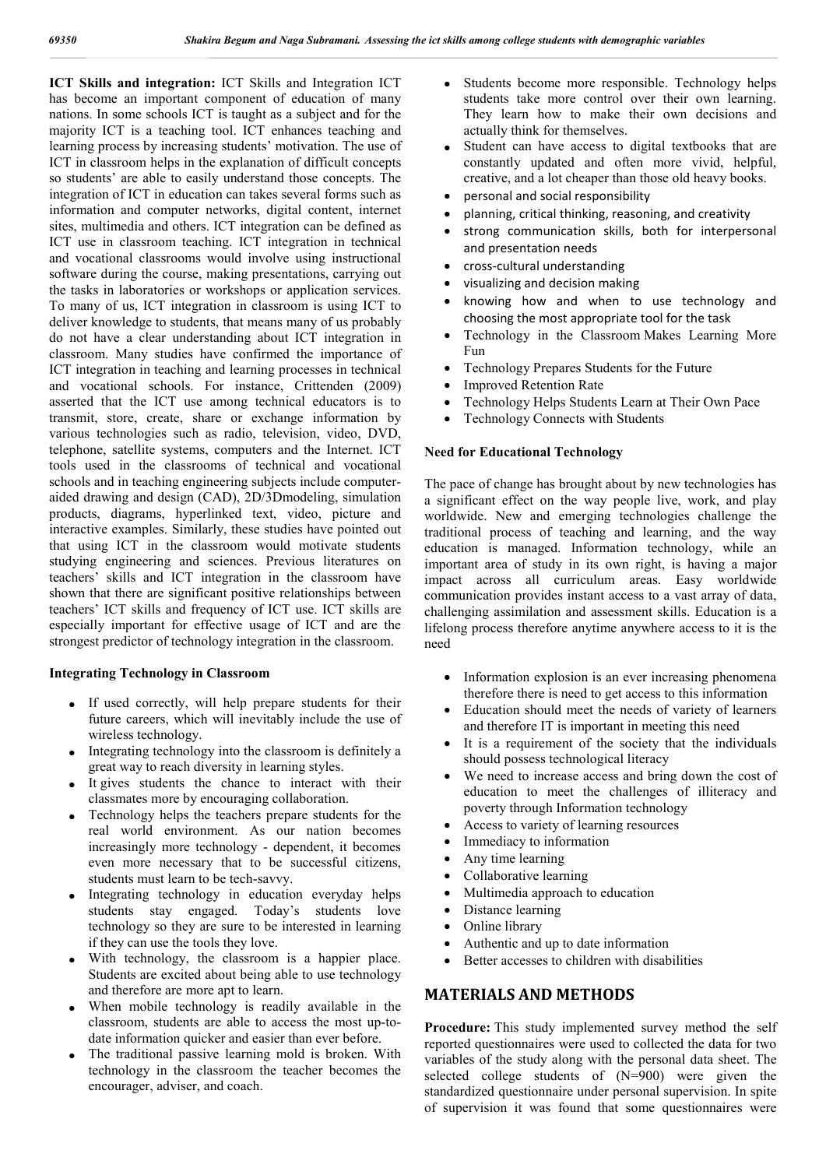**ICT Skills and integration:** ICT Skills and Integration ICT has become an important component of education of many nations. In some schools ICT is taught as a subject and for the majority ICT is a teaching tool. ICT enhances teaching and learning process by increasing students' motivation. The use of ICT in classroom helps in the explanation of difficult concepts so students' are able to easily understand those concepts. The integration of ICT in education can takes several forms such as information and computer networks, digital content, internet sites, multimedia and others. ICT integration can be defined as ICT use in classroom teaching. ICT integration in technical and vocational classrooms would involve using instructional software during the course, making presentations, carrying out the tasks in laboratories or workshops or application services. To many of us, ICT integration in classroom is using ICT to deliver knowledge to students, that means many of us probably do not have a clear understanding about ICT integration in classroom. Many studies have confirmed the importance of ICT integration in teaching and learning processes in technical and vocational schools. For instance, Crittenden (2009) asserted that the ICT use among technical educators is to transmit, store, create, share or exchange information by various technologies such as radio, television, video, DVD, telephone, satellite systems, computers and the Internet. ICT tools used in the classrooms of technical and vocational schools and in teaching engineering subjects include computeraided drawing and design (CAD), 2D/3Dmodeling, simulation products, diagrams, hyperlinked text, video, picture and interactive examples. Similarly, these studies have pointed out that using ICT in the classroom would motivate students studying engineering and sciences. Previous literatures on teachers' skills and ICT integration in the classroom have shown that there are significant positive relationships between teachers' ICT skills and frequency of ICT use. ICT skills are especially important for effective usage of ICT and are the strongest predictor of technology integration in the classroom.

#### **Integrating Technology in Classroom**

- If used correctly, will help prepare students for their future careers, which will inevitably include the use of wireless technology.
- Integrating technology into the classroom is definitely a great way to reach diversity in learning styles.
- It gives students the chance to interact with their classmates more by encouraging collaboration.
- Technology helps the teachers prepare students for the real world environment. As our nation becomes increasingly more technology - dependent, it becomes even more necessary that to be successful citizens, students must learn to be tech-savvy.
- Integrating technology in education everyday helps students stay engaged. Today's students love technology so they are sure to be interested in learning if they can use the tools they love.
- With technology, the classroom is a happier place. Students are excited about being able to use technology and therefore are more apt to learn.
- When mobile technology is readily available in the classroom, students are able to access the most up-todate information quicker and easier than ever before.
- The traditional passive learning mold is broken. With technology in the classroom the teacher becomes the encourager, adviser, and coach.
- Students become more responsible. Technology helps students take more control over their own learning. They learn how to make their own decisions and actually think for themselves.
- Student can have access to digital textbooks that are constantly updated and often more vivid, helpful, creative, and a lot cheaper than those old heavy books.
- personal and social responsibility
- planning, critical thinking, reasoning, and creativity
- strong communication skills, both for interpersonal and presentation needs
- cross-cultural understanding
- visualizing and decision making
- knowing how and when to use technology and choosing the most appropriate tool for the task
- Technology in the Classroom Makes Learning More Fun
- Technology Prepares Students for the Future
- Improved Retention Rate
- Technology Helps Students Learn at Their Own Pace
- Technology Connects with Students

#### **Need for Educational Technology**

The pace of change has brought about by new technologies has a significant effect on the way people live, work, and play worldwide. New and emerging technologies challenge the traditional process of teaching and learning, and the way education is managed. Information technology, while an important area of study in its own right, is having a major impact across all curriculum areas. Easy worldwide communication provides instant access to a vast array of data, challenging assimilation and assessment skills. Education is a lifelong process therefore anytime anywhere access to it is the need

- Information explosion is an ever increasing phenomena therefore there is need to get access to this information
- Education should meet the needs of variety of learners and therefore IT is important in meeting this need
- It is a requirement of the society that the individuals should possess technological literacy
- We need to increase access and bring down the cost of education to meet the challenges of illiteracy and poverty through Information technology
- Access to variety of learning resources
- Immediacy to information
- Any time learning
- Collaborative learning
- Multimedia approach to education
- Distance learning
- Online library
- Authentic and up to date information
- Better accesses to children with disabilities

## **MATERIALS AND METHODS**

**Procedure:** This study implemented survey method the self reported questionnaires were used to collected the data for two variables of the study along with the personal data sheet. The selected college students of (N=900) were given the standardized questionnaire under personal supervision. In spite of supervision it was found that some questionnaires were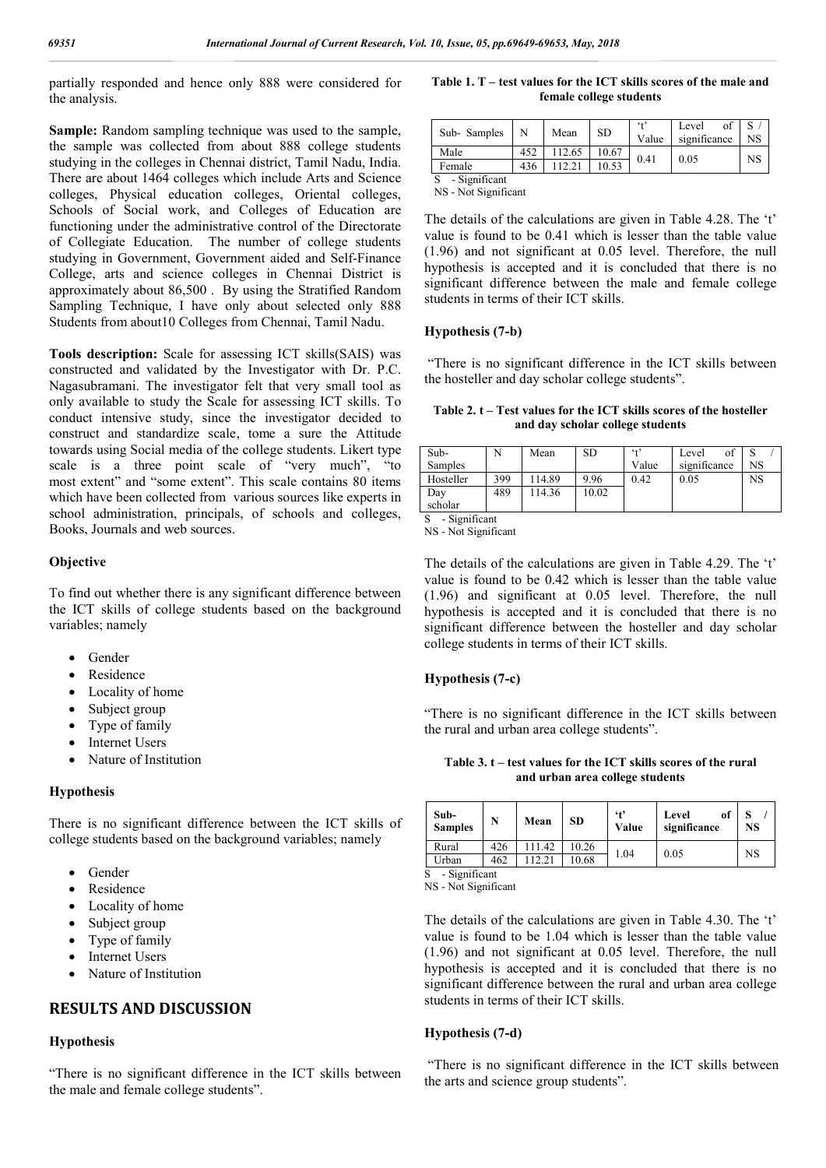partially responded and hence only 888 were considered for the analysis.

**Sample:** Random sampling technique was used to the sample, the sample was collected from about 888 college students studying in the colleges in Chennai district, Tamil Nadu, India. There are about 1464 colleges which include Arts and Science colleges, Physical education colleges, Oriental colleges, Schools of Social work, and Colleges of Education are functioning under the administrative control of the Directorate of Collegiate Education. The number of college students studying in Government, Government aided and Self-Finance College, arts and science colleges in Chennai District is approximately about 86,500 . By using the Stratified Random Sampling Technique, I have only about selected only 888 Students from about10 Colleges from Chennai, Tamil Nadu.

**Tools description:** Scale for assessing ICT skills(SAIS) was constructed and validated by the Investigator with Dr. P.C. Nagasubramani. The investigator felt that very small tool as only available to study the Scale for assessing ICT skills. To conduct intensive study, since the investigator decided to construct and standardize scale, tome a sure the Attitude towards using Social media of the college students. Likert type scale is a three point scale of "very much", "to most extent" and "some extent". This scale contains 80 items which have been collected from various sources like experts in school administration, principals, of schools and colleges, Books, Journals and web sources.

#### **Objective**

To find out whether there is any significant difference between the ICT skills of college students based on the background variables; namely

- Gender
- Residence
- Locality of home
- Subject group
- Type of family
- Internet Users
- Nature of Institution

#### **Hypothesis**

There is no significant difference between the ICT skills of college students based on the background variables; namely

- Gender
- Residence
- Locality of home
- Subject group
- Type of family
- Internet Users
- Nature of Institution

## **RESULTS AND DISCUSSION**

#### **Hypothesis**

"There is no significant difference in the ICT skills between the male and female college students".

| Table 1. T – test values for the ICT skills scores of the male and |
|--------------------------------------------------------------------|
| female college students                                            |

| Sub-Samples   |     | Mean  | SD    | $6 + 2$<br>Value | Level<br>significance | NS |
|---------------|-----|-------|-------|------------------|-----------------------|----|
| Male          | 452 | 12.65 | 10.67 | 0.41             | 0.05                  | NS |
| Female        | 436 |       |       |                  |                       |    |
| - Significant |     |       |       |                  |                       |    |

NS - Not Significant

The details of the calculations are given in Table 4.28. The 't' value is found to be 0.41 which is lesser than the table value (1.96) and not significant at 0.05 level. Therefore, the null hypothesis is accepted and it is concluded that there is no significant difference between the male and female college students in terms of their ICT skills.

#### **Hypothesis (7-b)**

"There is no significant difference in the ICT skills between the hosteller and day scholar college students".

**Table 2. t – Test values for the ICT skills scores of the hosteller and day scholar college students**

| Sub-      |     | Mean   | <b>SD</b> | (4)   | of<br>Level  |    |
|-----------|-----|--------|-----------|-------|--------------|----|
| Samples   |     |        |           | Value | significance | NS |
| Hosteller | 399 | 114.89 | 9.96      | 0.42  | 0.05         | NS |
| Day       | 489 | 114.36 | 10.02     |       |              |    |
| scholar   |     |        |           |       |              |    |

S - Significant

NS - Not Significant

The details of the calculations are given in Table 4.29. The 't' value is found to be 0.42 which is lesser than the table value (1.96) and significant at 0.05 level. Therefore, the null hypothesis is accepted and it is concluded that there is no significant difference between the hosteller and day scholar college students in terms of their ICT skills.

#### **Hypothesis (7-c)**

"There is no significant difference in the ICT skills between the rural and urban area college students".

**Table 3. t – test values for the ICT skills scores of the rural and urban area college students**

|   | Sub-<br><b>Samples</b> | N   | Mean   | <b>SD</b> | 41<br>Value | Level<br>of<br>significance | <b>NS</b> |
|---|------------------------|-----|--------|-----------|-------------|-----------------------------|-----------|
|   | Rural                  | 426 | 111.42 | 10.26     | 1.04        | 0.05                        | NS        |
|   | Urban                  | 462 | 112.21 | 10.68     |             |                             |           |
| S | - Significant          |     |        |           |             |                             |           |

NS - Not Significant

The details of the calculations are given in Table 4.30. The 't' value is found to be 1.04 which is lesser than the table value (1.96) and not significant at 0.05 level. Therefore, the null hypothesis is accepted and it is concluded that there is no significant difference between the rural and urban area college students in terms of their ICT skills.

#### **Hypothesis (7-d)**

"There is no significant difference in the ICT skills between the arts and science group students".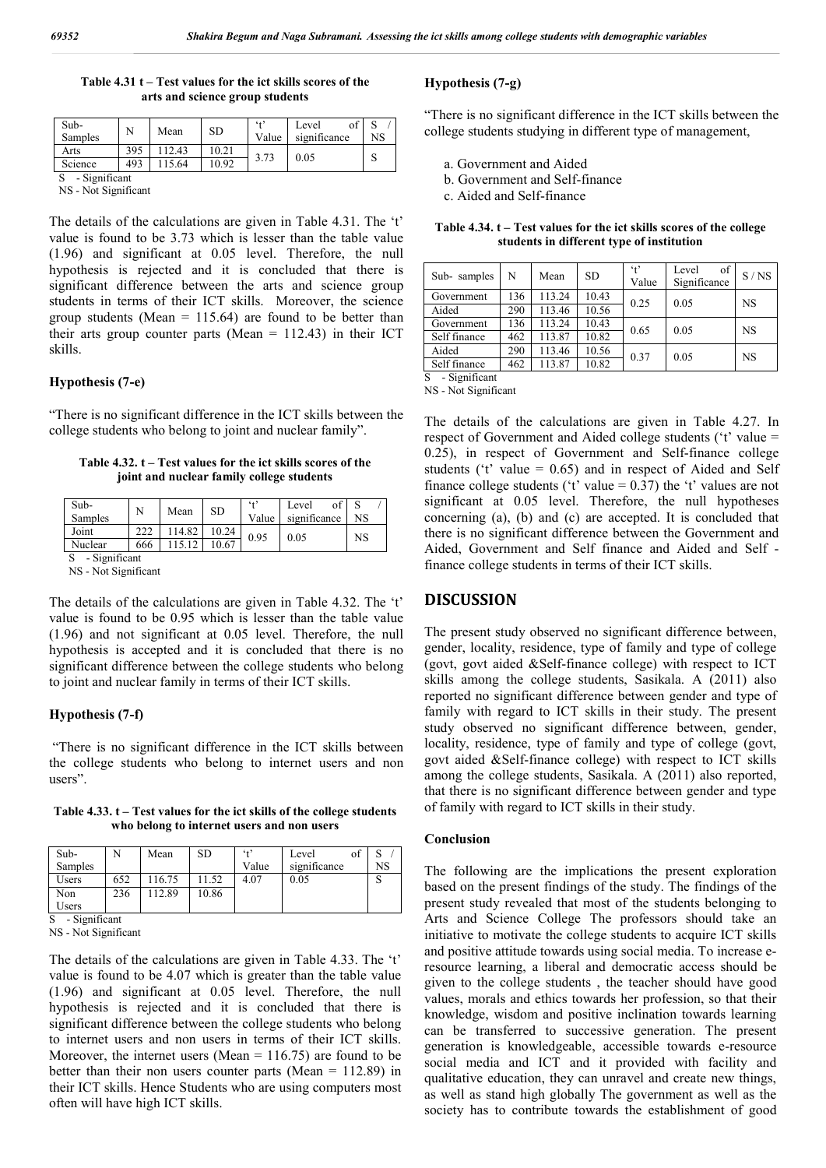| Table $4.31 t$ – Test values for the ict skills scores of the |
|---------------------------------------------------------------|
| arts and science group students                               |

| Sub-<br>Samples | N   | Mean  | SD    | $4 + 2$<br>Value | of<br>Level<br>significance | NS |  |  |  |
|-----------------|-----|-------|-------|------------------|-----------------------------|----|--|--|--|
| Arts            | 395 | 12.43 | 10.21 |                  | 0.05                        |    |  |  |  |
| Science         | 493 | 15.64 | 10.92 | 3.73             |                             |    |  |  |  |
| - Significant   |     |       |       |                  |                             |    |  |  |  |

NS - Not Significant

The details of the calculations are given in Table 4.31. The 't' value is found to be 3.73 which is lesser than the table value (1.96) and significant at 0.05 level. Therefore, the null hypothesis is rejected and it is concluded that there is significant difference between the arts and science group students in terms of their ICT skills. Moreover, the science group students (Mean  $= 115.64$ ) are found to be better than their arts group counter parts (Mean  $= 112.43$ ) in their ICT skills.

#### **Hypothesis (7-e)**

"There is no significant difference in the ICT skills between the college students who belong to joint and nuclear family".

**Table 4.32. t – Test values for the ict skills scores of the joint and nuclear family college students**

| Sub-<br>Samples | N   | Mean   | <b>SD</b> | (4)<br>Value | Level<br>significance | NS |  |  |
|-----------------|-----|--------|-----------|--------------|-----------------------|----|--|--|
| Joint           | 222 | 114.82 | 10.24     | 0.95         | 0.05                  | NS |  |  |
| Nuclear         | 666 |        | 10.67     |              |                       |    |  |  |
| - Significant   |     |        |           |              |                       |    |  |  |

NS - Not Significant

The details of the calculations are given in Table 4.32. The 't' value is found to be 0.95 which is lesser than the table value (1.96) and not significant at 0.05 level. Therefore, the null hypothesis is accepted and it is concluded that there is no significant difference between the college students who belong to joint and nuclear family in terms of their ICT skills.

#### **Hypothesis (7-f)**

"There is no significant difference in the ICT skills between the college students who belong to internet users and non users".

**Table 4.33. t – Test values for the ict skills of the college students who belong to internet users and non users**

| $Sub-$  |     | Mean   | <b>SD</b> | 6.12  | Level<br>ОI  |    |
|---------|-----|--------|-----------|-------|--------------|----|
| Samples |     |        |           | Value | significance | NS |
| Users   | 652 | 116.75 | .52       | 4.07  | 0.05         | Ω  |
| Non     | 236 | 112.89 | 10.86     |       |              |    |
| Users   |     |        |           |       |              |    |

- Significant NS - Not Significant

The details of the calculations are given in Table 4.33. The 't' value is found to be 4.07 which is greater than the table value (1.96) and significant at 0.05 level. Therefore, the null hypothesis is rejected and it is concluded that there is significant difference between the college students who belong to internet users and non users in terms of their ICT skills. Moreover, the internet users (Mean  $= 116.75$ ) are found to be better than their non users counter parts (Mean = 112.89) in their ICT skills. Hence Students who are using computers most often will have high ICT skills.

#### **Hypothesis (7-g)**

"There is no significant difference in the ICT skills between the college students studying in different type of management,

- a. Government and Aided
- b. Government and Self-finance
- c. Aided and Self-finance

| Table 4.34, t – Test values for the ict skills scores of the college |                                           |  |  |  |
|----------------------------------------------------------------------|-------------------------------------------|--|--|--|
|                                                                      | students in different type of institution |  |  |  |

| N      | Mean   | SD.   | $4^{\circ}$<br>Value | of<br>Level<br>Significance | S/NS                 |
|--------|--------|-------|----------------------|-----------------------------|----------------------|
| 136    | 113.24 | 10.43 |                      |                             | <b>NS</b>            |
| 290    | 113.46 | 10.56 |                      |                             |                      |
| 136    | 113.24 | 10.43 |                      |                             | <b>NS</b>            |
| 462    | 113.87 | 10.82 |                      |                             |                      |
| 290    | 113.46 | 10.56 |                      |                             | <b>NS</b>            |
| 462    | 113.87 | 10.82 |                      |                             |                      |
| $\sim$ |        |       |                      | 0.25<br>0.65<br>0.37        | 0.05<br>0.05<br>0.05 |

- Significant

NS - Not Significant

The details of the calculations are given in Table 4.27. In respect of Government and Aided college students ('t' value = 0.25), in respect of Government and Self-finance college students ( $t'$  value = 0.65) and in respect of Aided and Self finance college students ('t' value =  $0.37$ ) the 't' values are not significant at 0.05 level. Therefore, the null hypotheses concerning (a), (b) and (c) are accepted. It is concluded that there is no significant difference between the Government and Aided, Government and Self finance and Aided and Self finance college students in terms of their ICT skills.

### **DISCUSSION**

The present study observed no significant difference between, gender, locality, residence, type of family and type of college (govt, govt aided &Self-finance college) with respect to ICT skills among the college students, Sasikala. A (2011) also reported no significant difference between gender and type of family with regard to ICT skills in their study. The present study observed no significant difference between, gender, locality, residence, type of family and type of college (govt, govt aided &Self-finance college) with respect to ICT skills among the college students, Sasikala. A (2011) also reported, that there is no significant difference between gender and type of family with regard to ICT skills in their study.

#### **Conclusion**

The following are the implications the present exploration based on the present findings of the study. The findings of the present study revealed that most of the students belonging to Arts and Science College The professors should take an initiative to motivate the college students to acquire ICT skills and positive attitude towards using social media. To increase eresource learning, a liberal and democratic access should be given to the college students , the teacher should have good values, morals and ethics towards her profession, so that their knowledge, wisdom and positive inclination towards learning can be transferred to successive generation. The present generation is knowledgeable, accessible towards e-resource social media and ICT and it provided with facility and qualitative education, they can unravel and create new things, as well as stand high globally The government as well as the society has to contribute towards the establishment of good